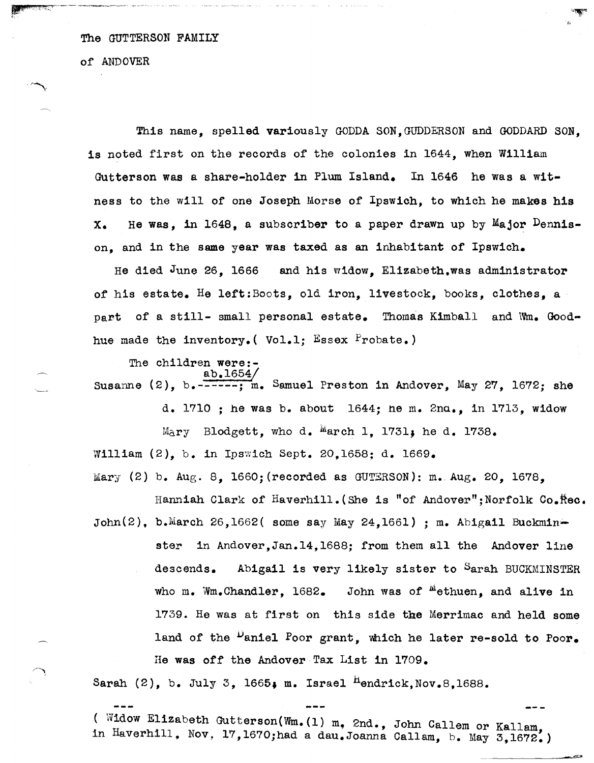of AnDOVER

This name, spelled variously GODDA SON, GUDDERSON and GODDARD SON. is noted first on the records of the colonies in 1644, when William Gutterson was a share-holder in Plum Island. In 1646 he was a witness to the will of one Joseph Morse of Ipswich, to which he makes his  $X_{\bullet}$  He was, in 1648, a subscriber to a paper drawn up by Major Dennison, and in the same year was taxed as an inhabitant of Ipswich.

(,

He died  $J$ une 26. 1666 and his widow. Elizabeth.was administrator of his estate. He left:Boots, old iron, livestock, books, clothes, a part of a still- small personal estate. Thomas Kimball and  $Wm_e$  Goodhue made the inventory. (Vol.1: Essex Probate.)

The children were: ab.1654(

Susanne  $(2)$ , b.  $\frac{2.6666667}{2}$ , Samuel Preston in Andover, May 27, 1672; she

d. 1710 ; he was b. about 1644; ne m. Zna., in 1713, widow  $M_{\Delta}$ ry Blodgett, who d.  $M_{\Delta}$ erch 1, 1731; he d. 1738. William  $(2)$ , b. in Ipswich Sept. 20,1658; d. 1669.

 $Mary (2) b. Aug. 8. 1660; (recorded as GUTERSON); m. Aug. 20. 1678.$ 

Hanniah Clark of Haverhill. (She is "of Andover";Norfolk Co. $\hbox{Re}$ . John(2), b.March 26,1662( some say May 24,1661) ; m. Abigail Buckminster in Andover,Jan.14,1688; from them all the Andover line descends. Abigail is very likely sister to Sarah BUCKMINSTER who m. Wm.Chandler,  $1682$ . John was of  $^{\text{M}}$ ethuen, and alive in 1739. He was at first on this side the Merrimac and held some land of the <sup>D</sup>aniel Poor grant, which he later re-sold to Poor. He was off the Andover Tax List in 1709.

Sarah  $(2)$ , b. July 3, 1665; m. Israel <sup>H</sup>endrick, Nov. 8, 1688.

( Widow Elizabeth Gutterson(Wm.(1) m, 2nd., John Callem or Kallam, in Haverhill, Nov, 17,1670;had a dau.Joanna Callam, b. May 3,1672.)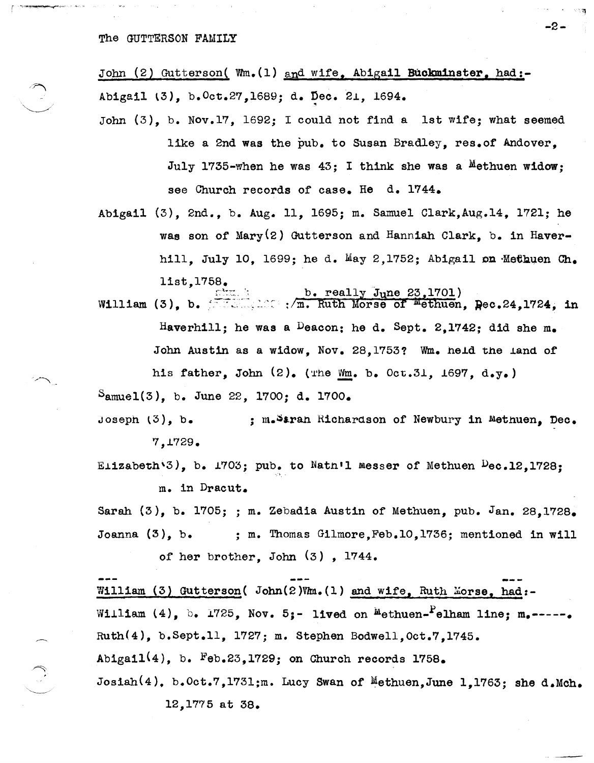John (2) Gutterson( Wm.(1) and wife. Abigail Buckminster. had:-Abigail (3), b. Oct.27, 1689; d. Dec. 21, 1694.

John (3), b. Nov.17, 1692; I could not find a 1st wife; what seemed like a 2nd was the pub. to Susan Bradley, res. of Andover, July 1735-when he was  $43$ ; I think she was a Methuen widow; see Church records of case. He d. 1744.

-2-

Abigail (3), 2nd., b. Aug. 11, 1695; m. Samuel Clark,Aug.14, 1721; he was son of Mary(2) Gutterson and Hanniah Clark, b. in Haverhill. July 10. 1699; he d. May 2,1752; Abigail on Methuen Ch. list,1758.  $\frac{c}{c}$ ::...; b. really June 23,1701)

William (3), b.  $\overline{111}$ :  $\overline{111}$ :  $\overline{111}$  . Ruth Morse of Methuen,  $\overline{P}$ ec.24,1724, in Haverhill; he was a Deacon; he d. Sept. 2.1742; did she m. John Austin as a widow. Nov. 28.1753? Wm. held the land of his father, John (2). (The *Wm.* b. Oct.31, 1697, d.y.)  $S_{\text{amuel}}(3)$ , b. June 22, 1700; d. 1700.

Joseph  $(3)$ , b. 7,~729. ; m.Saran Richardson of Newbury in Methuen. Dec.

Elizabeth $\sqrt{3}$ , b. 1703; pub. to Natn'l Messer of Methuen Dec.12,1728; m. in Dracut.

Sarah  $(3)$ , b. 1705; ; m. Zebadia Austin of Methuen, pub. Jan. 28.1728. Joanna (3), b. ; m. Thomas Gilmore,Feb.10,1736; mentioned in will of her brother, John (3) , 1744.

William (3) Gutterson( John(2)Vm.(1) and wife, Ruth Morse, had:-William (4), b. 1725, Nov. 5;- lived on  $M$ ethuen-Pelham line; m.-----. Ruth(4), b.Sept.ll, 1727; m. Stephen Bodwell,Oct.7,1745. Abigail $(4)$ , b. Feb.23,1729; on Church records 1758. Josiah $(4)$ , b.Oct.7,1731;m. Lucy Swan of Methuen,June 1,1763; she d.Mch. 12, 1775 at 38.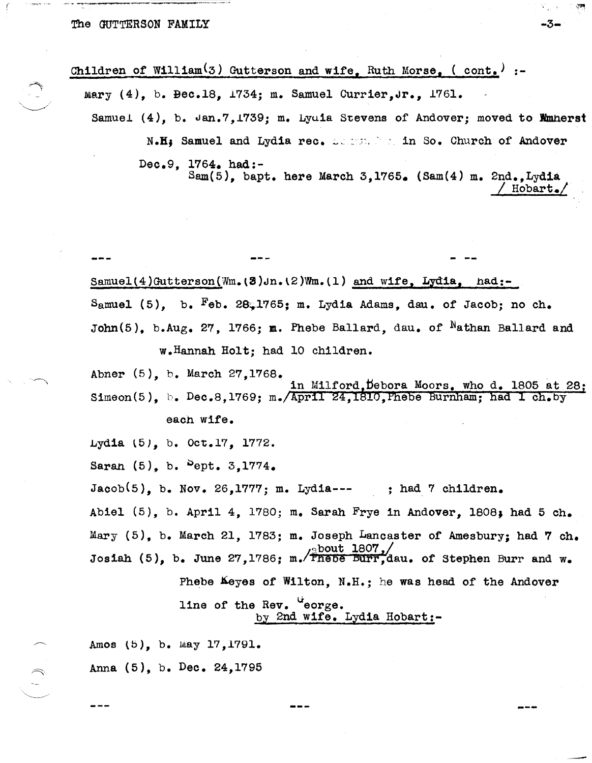$\int_0^{\infty}$ 

<u>in Sabarahan Sana</u>

---

| Children of William <sup>(3)</sup> Gutterson and wife, Ruth Morse, $($ cont.) :-                                                          |                                                                                                                                                        |  |  |  |
|-------------------------------------------------------------------------------------------------------------------------------------------|--------------------------------------------------------------------------------------------------------------------------------------------------------|--|--|--|
| mary $(4)$ , b. Bec.18, 1734; m. Samuel Currier, Jr., 1761.<br>Samuel (4), b. Jan.7, 1739; m. Lyuia Stevens of Andover; moved to Munnerst |                                                                                                                                                        |  |  |  |
|                                                                                                                                           |                                                                                                                                                        |  |  |  |
|                                                                                                                                           | Dec.9, 1764. had:-<br>Sam(5), bapt. here March 3,1765. (Sam(4) m. 2nd., Lydia<br>$Hobart_{\bullet}$                                                    |  |  |  |
|                                                                                                                                           |                                                                                                                                                        |  |  |  |
|                                                                                                                                           |                                                                                                                                                        |  |  |  |
|                                                                                                                                           | Samuel(4)Gutterson(Wm.(3)Jn.(2)Wm.(1) and wife, Lydia, had:-                                                                                           |  |  |  |
|                                                                                                                                           | Samuel (5), b. Feb. 28.1765; m. Lydia Adams, dau. of Jacob; no ch.                                                                                     |  |  |  |
|                                                                                                                                           | John(5), b.Aug. 27, 1766; m. Phebe Ballard, dau. of Nathan Ballard and                                                                                 |  |  |  |
|                                                                                                                                           | w.Hannah Holt; had 10 children.                                                                                                                        |  |  |  |
|                                                                                                                                           | Abner (5), b. March 27,1768.<br>in Milford. Debora Moors, who d. 1805 at 28;<br>Simeon(5), b. Dec.8,1769; m./April 24,1810, Phebe Burnham; had I ch.by |  |  |  |
|                                                                                                                                           | each wife.                                                                                                                                             |  |  |  |
|                                                                                                                                           | Lydia (5), b. Oct.17, 1772.                                                                                                                            |  |  |  |
|                                                                                                                                           | Saran $(5)$ , b. $5$ ept. $3,1774$ .                                                                                                                   |  |  |  |
|                                                                                                                                           | $Jacob(5)$ , b. Nov. 26,1777; m. Lydia--- ; had 7 children.                                                                                            |  |  |  |
|                                                                                                                                           | Abiel $(5)$ , b. April 4, 1780; m. Sarah Frye in Andover, 1808; had 5 ch.                                                                              |  |  |  |
|                                                                                                                                           | Mary (5), b. March 21, 1783; m. Joseph Lancaster of Amesbury; had 7 ch.                                                                                |  |  |  |
|                                                                                                                                           | Josiah (5), b. June 27, 1786; m. Fnebe Burr, dau. of Stephen Burr and w.                                                                               |  |  |  |
|                                                                                                                                           | Phebe Keyes of Wilton, N.H.: he was head of the Andover                                                                                                |  |  |  |
|                                                                                                                                           | line of the Rev. "eorge.<br>by 2nd wife. Lydia Hobart:-                                                                                                |  |  |  |
|                                                                                                                                           | Amos (5), b. May 17, 1791.                                                                                                                             |  |  |  |

 $-3-$ 

 $\mathcal{L}_{\mathbf{z}}$  is

 $\mathcal{L}_{\text{eff}}$ 

Anna (5), b. Dec. 24,1795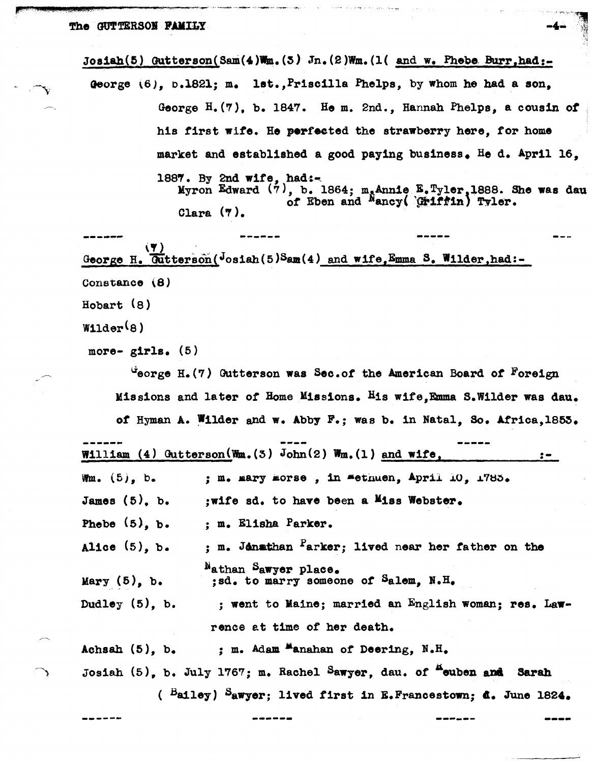Josiah(5)  $\text{Outtorson}(\text{Sam}(4)\text{Wm}.(3)$  Jn. $(2)\text{Wm}.(1)$  and w. Phebe Burr,had:-

Qeorge \6), 0.1821; m. lat.,Prisc1l1a Phelps, by whom he had a son, George H.(7), b. 1847. He m. 2nd., Hannah Phelps, a cousin *ot*  his first wite. He perfeeted the strawberry here, tor home market and established a good paying business. He d. April  $16$ . 1887. By 2nd wife, had: $\leftarrow$ 

Myron Edward  $(7)$ , b. 1864; m. Annie  $E.$  Tyler, 1888. She was , b. 1864; m. Annie E.Tyler, 1888. She was dau of Eben and Nancy( *diiftin*) Tyler. Clara  $(7)$ .

~-----.... ------ (') , George H. Gutterson( $J$ osiah(5)Sam(4) and wife, Emma S. Wilder, had:-Constance (8) Hobart (8)

 $W11der(8)$ 

more-  $girls.$  (5)

~eorge B.(7) Outterson was Sec.ot the American Board *ot* Foreign Missions and later *ot* Dome Missions. His wite,Emma B.Wilder was dau. of Hyman A. Wilder and w. Abby F.; was b. in Natal, So. Africa, 1853.

| --------                                                        | . | . |
|-----------------------------------------------------------------|---|---|
| William (4) Gutterson (Wm. $(3)$ John $(2)$ Wm. $(1)$ and wife, |   |   |

Wm.  $(5)$ , b. ; m. mary morse, in methuen, April  $10$ ,  $1785$ .

James (5). b. ; wife sd. to have been a Miss Webster.

Phebe (5), b. ; m. Elisha Parker.

Alice (5), b. ; m. Jonathan Parker; lived near her father on the ~athan Sawyer place. ;sd. to marry someone *ot* Salem, N.H.

Mary  $(5)$ , b.

Dudley (5), b. ; went to Maine; married an English woman; res. Lawrence at time *ot* her death.

Achsah (5), b. ; m. Adam **Manahan of Deering, N.H.** Josiah (5), b. July 1767; m. Rachel Sawyer, dau. of <sup>n</sup>euben and Sarah ( Bailey) Sawyer; lived first in E.Francestown; A. June 1826.

------ -.--.--- ------ -----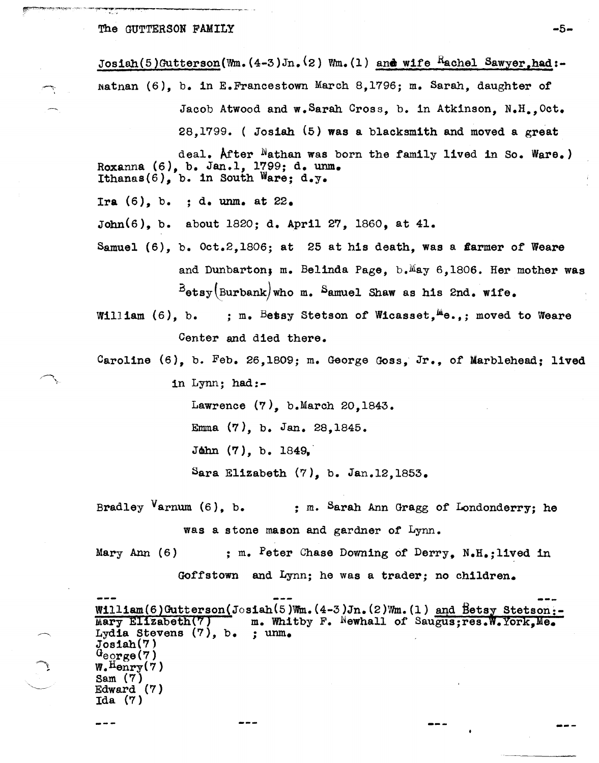Josiah(5)Gutterson(Wm.(4-3)Jn.<sup>(2)</sup> Wm.(1) and wife Rachel Sawyer, had:- $National (6)$ , b. in E.Francestown March 8,1796; m. Sarah, daughter of Jacob Atwood and w. Sarah Cross, b. in Atkinson, N.H., Oct. 28,1799. ( Josiah (5) was a blacksmith and moved a great

deal. After Nathan was born the family lived in So. Ware.) Roxanna (6), b. Jan.1, 1799; d. unm. Ithanas(6), b. in South Ware; d.y.

Ira  $(6)$ , b. ; d. unm. at  $22$ .

John(S), b. about 1820; d. April 27, 1860, at 41.

Samuel  $(6)$ , b. Oct.2,1806; at 25 at his death, was a flarmer of Weare and Dunbarton; m. Belinda Page, b.May 6,1806. Her mother was  $B_{\texttt{obsy}}(\texttt{Burbank})$  who m. Samuel Shaw as his 2nd. wife.

William  $(6)$ , b. ; m. Betsy Stetson of Wicasset,  $^{M}\text{e.}$ ; moved to Weare Center and died there.

Caroline (6), b. Feb. 26,1809; m. George Goss, Jr., of Marblehead; lived

in Lynn; had:-

Lawrence (7), b.March 20,1843.

Emma (7), b. Jan. 28,1845.

 $Jøhn (7), b. 1849,$ 

Sara Elizabeth  $(7)$ , b. Jan.12,1853.

Bradley Varnum  $(6)$ , b. ; m. Sarah Ann Gragg of Londonderry; he was a stone mason and gardner of Lynn.

Mary Ann  $(6)$  ; m. Peter Chase Downing of Derry, N.H.; lived in

Goffstown and Lynn; he was a trader; no children.

William(6)Gutterson(Josiah(5)Wm.(4-3)Jn.(2)Wm.(1) <u>and Betsy Stetson:-</u><br>Mary Elizabeth(7) m. Whitby F. <sup>N</sup>ewhall of Saugus;res.W.York,Me. Mary Elizabeth(7) m. Whitby F. Newhall of Saugus; res. W. York, Me. Lydia Stevens (7), b. ; unm.  $Josiah(7)$  $G_{\text{egrge}}(7)$  $W_{\bullet}$  Henry(7) Sam (7) Edward (7)<br>Ida (7)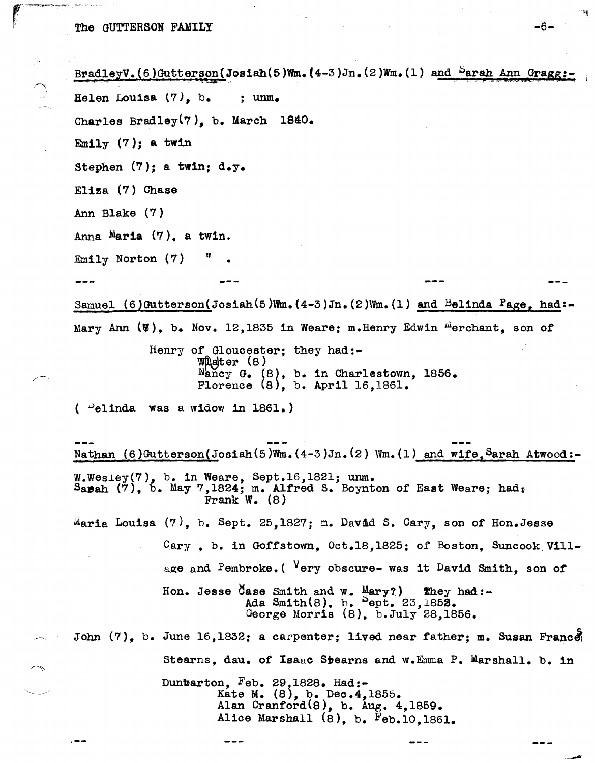""~~'-.. '~-"' ..

```
BradleyV.(6)Gutterson(Josiah(5)Wm.(4-3)Jn.(2)Wm.(1) and <sup>S</sup>arah Ann Gragg:
Helen Louisa (7), b. ; unm. 
Charles Bradley(7), b. March 1840. 
Emily (7); a twin
Stephen (7); a twin; d_y.
Eliza (7) Chase
Ann Blake (7)
Anna Maria (7), a twin.
Emily Norton (7)Samuel (6)Gutterson(Josiah(5)Wm.(4-3)Jn.(2)Wm.(1) and Belinda Page, had:-
Mary Ann (\triangledown), b. Nov. 12,1835 in Weare; m. Henry Edwin <sup>m</sup>erchant, son of
            Henry of Gloucester; they had:-
                   W\eter (8)N_{\text{ancy}} G. (8), b. in Charlestown, 1856.
                    Florence (8), 
b. April 16,1861. 
(Pelinda was a widow in 1861.)
Nathan (6)Gutterson(Josiah(5)Wm.(4-3)Jn.(2) Wm.(1) and wife, Sarah Atwood:-
W.Wesley(7), b. in Weare, Sept.16,1821; unm.
Sapah (7), b. May 7,1824; m. Alfred S. Boynton of East Weare; had<sub>*</sub>
                    Frank W_{\bullet} (8)
Maria Louisa (7), b. Sept. 25,1827; m. David S. Cary, son of Hon. Jesse
              Cary. b. in Goffstown, Oct.18,1825; of Boston, Suncook Vill-
              age and Pembroke. ( Very obscure- was it David Smith, son ot 
              Hon. Jesse Case Smith and w. Mary? They had:-
                           Ada Smith(8), b. ^{5}ept. 23,1852.
                           George Morris (8), b.July 28,1856. 
John (7), b. June 16,1832; a carpenter; lived near father; m. Susan France
              stearns, dau. of Isaac Sbearns and w.Emma P, Marshall. b. in 
. --
              Dunbarton, F_{\text{eb}}. 29, 1828. Had:-
                      Kate M. (8), b. Dec.4,1855. 
                      Alan Cranford(8), b. Aug, 4,1859. 
                      Alice Marshall (8), b. Feb.10,1861.
```